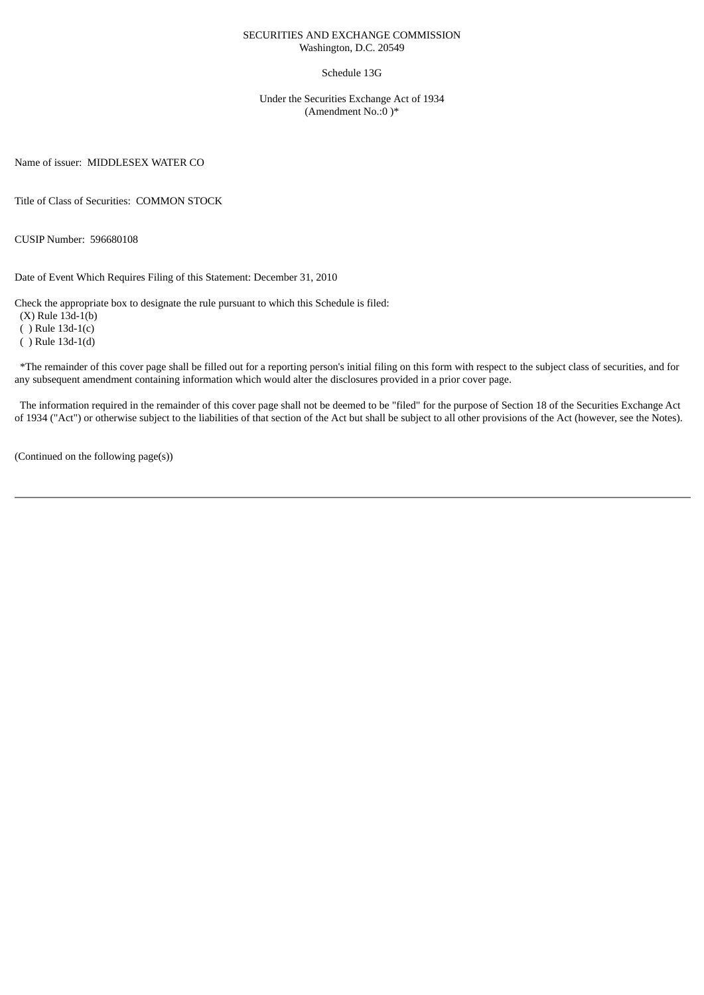#### SECURITIES AND EXCHANGE COMMISSION Washington, D.C. 20549

#### Schedule 13G

Under the Securities Exchange Act of 1934 (Amendment No.:0 )\*

Name of issuer: MIDDLESEX WATER CO

Title of Class of Securities: COMMON STOCK

CUSIP Number: 596680108

Date of Event Which Requires Filing of this Statement: December 31, 2010

Check the appropriate box to designate the rule pursuant to which this Schedule is filed:

(X) Rule 13d-1(b)

( ) Rule 13d-1(c)

( ) Rule 13d-1(d)

\*The remainder of this cover page shall be filled out for a reporting person's initial filing on this form with respect to the subject class of securities, and for any subsequent amendment containing information which would alter the disclosures provided in a prior cover page.

The information required in the remainder of this cover page shall not be deemed to be "filed" for the purpose of Section 18 of the Securities Exchange Act of 1934 ("Act") or otherwise subject to the liabilities of that section of the Act but shall be subject to all other provisions of the Act (however, see the Notes).

(Continued on the following page(s))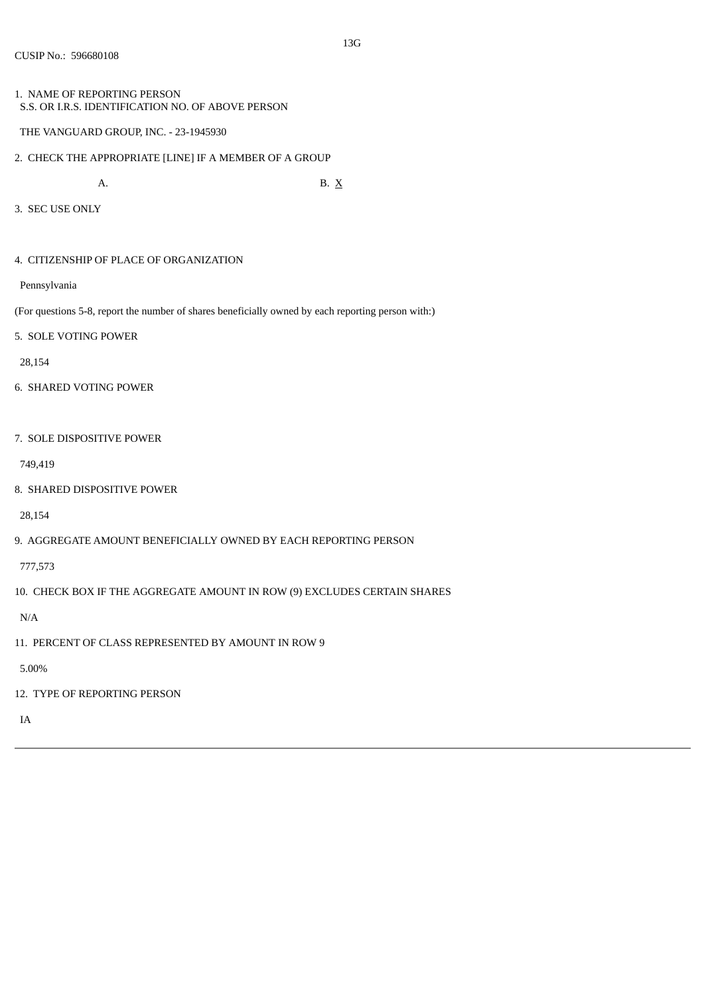- 1. NAME OF REPORTING PERSON S.S. OR I.R.S. IDENTIFICATION NO. OF ABOVE PERSON
- THE VANGUARD GROUP, INC. 23-1945930
- 2. CHECK THE APPROPRIATE [LINE] IF A MEMBER OF A GROUP

A. B.  $X$ 

- 3. SEC USE ONLY
- 4. CITIZENSHIP OF PLACE OF ORGANIZATION
- Pennsylvania

(For questions 5-8, report the number of shares beneficially owned by each reporting person with:)

5. SOLE VOTING POWER

28,154

- 6. SHARED VOTING POWER
- 7. SOLE DISPOSITIVE POWER

749,419

8. SHARED DISPOSITIVE POWER

28,154

9. AGGREGATE AMOUNT BENEFICIALLY OWNED BY EACH REPORTING PERSON

777,573

10. CHECK BOX IF THE AGGREGATE AMOUNT IN ROW (9) EXCLUDES CERTAIN SHARES

N/A

11. PERCENT OF CLASS REPRESENTED BY AMOUNT IN ROW 9

5.00%

12. TYPE OF REPORTING PERSON

IA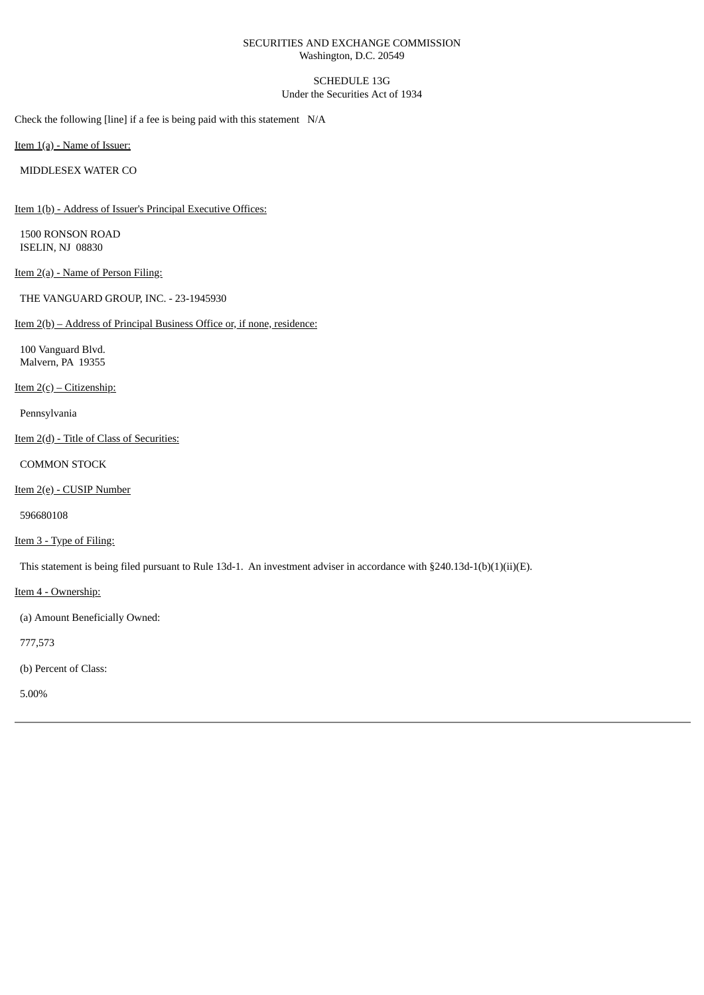### SECURITIES AND EXCHANGE COMMISSION Washington, D.C. 20549

# SCHEDULE 13G Under the Securities Act of 1934

Check the following [line] if a fee is being paid with this statement N/A

Item 1(a) - Name of Issuer:

MIDDLESEX WATER CO

Item 1(b) - Address of Issuer's Principal Executive Offices:

1500 RONSON ROAD ISELIN, NJ 08830

Item 2(a) - Name of Person Filing:

THE VANGUARD GROUP, INC. - 23-1945930

### Item 2(b) – Address of Principal Business Office or, if none, residence:

100 Vanguard Blvd. Malvern, PA 19355

Item  $2(c)$  – Citizenship:

Pennsylvania

Item 2(d) - Title of Class of Securities:

COMMON STOCK

Item 2(e) - CUSIP Number

596680108

Item 3 - Type of Filing:

This statement is being filed pursuant to Rule 13d-1. An investment adviser in accordance with §240.13d-1(b)(1)(ii)(E).

Item 4 - Ownership:

(a) Amount Beneficially Owned:

777,573

(b) Percent of Class:

5.00%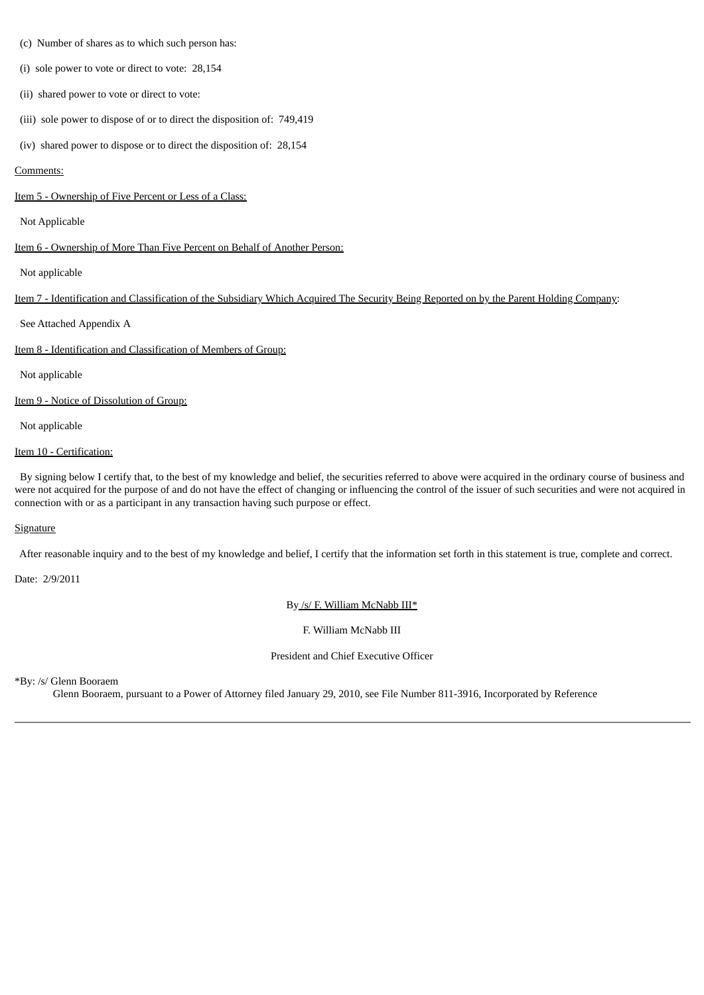- (c) Number of shares as to which such person has:
- (i) sole power to vote or direct to vote: 28,154
- (ii) shared power to vote or direct to vote:
- (iii) sole power to dispose of or to direct the disposition of: 749,419
- (iv) shared power to dispose or to direct the disposition of: 28,154

### Comments:

Item 5 - Ownership of Five Percent or Less of a Class:

### Not Applicable

Item 6 - Ownership of More Than Five Percent on Behalf of Another Person:

Not applicable

Item 7 - Identification and Classification of the Subsidiary Which Acquired The Security Being Reported on by the Parent Holding Company:

See Attached Appendix A

Item 8 - Identification and Classification of Members of Group:

Not applicable

Item 9 - Notice of Dissolution of Group:

Not applicable

### Item 10 - Certification:

By signing below I certify that, to the best of my knowledge and belief, the securities referred to above were acquired in the ordinary course of business and were not acquired for the purpose of and do not have the effect of changing or influencing the control of the issuer of such securities and were not acquired in connection with or as a participant in any transaction having such purpose or effect.

# **Signature**

After reasonable inquiry and to the best of my knowledge and belief, I certify that the information set forth in this statement is true, complete and correct.

Date: 2/9/2011

By /s/ F. William McNabb III\*

F. William McNabb III

President and Chief Executive Officer

\*By: /s/ Glenn Booraem

Glenn Booraem, pursuant to a Power of Attorney filed January 29, 2010, see File Number 811-3916, Incorporated by Reference